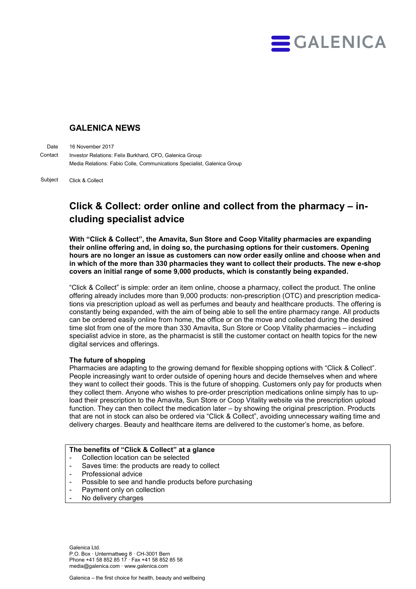

# **GALENICA NEWS**

16 November 2017 Investor Relations: Felix Burkhard, CFO, Galenica Group Media Relations: Fabio Colle, Communications Specialist, Galenica Group Date **Contact** 

Click & Collect Subject

# **Click & Collect: order online and collect from the pharmacy – including specialist advice**

**With "Click & Collect", the Amavita, Sun Store and Coop Vitality pharmacies are expanding their online offering and, in doing so, the purchasing options for their customers. Opening hours are no longer an issue as customers can now order easily online and choose when and in which of the more than 330 pharmacies they want to collect their products. The new e-shop covers an initial range of some 9,000 products, which is constantly being expanded.** 

"Click & Collect" is simple: order an item online, choose a pharmacy, collect the product. The online offering already includes more than 9,000 products: non-prescription (OTC) and prescription medications via prescription upload as well as perfumes and beauty and healthcare products. The offering is constantly being expanded, with the aim of being able to sell the entire pharmacy range. All products can be ordered easily online from home, the office or on the move and collected during the desired time slot from one of the more than 330 Amavita, Sun Store or Coop Vitality pharmacies – including specialist advice in store, as the pharmacist is still the customer contact on health topics for the new digital services and offerings.

## **The future of shopping**

Pharmacies are adapting to the growing demand for flexible shopping options with "Click & Collect". People increasingly want to order outside of opening hours and decide themselves when and where they want to collect their goods. This is the future of shopping. Customers only pay for products when they collect them. Anyone who wishes to pre-order prescription medications online simply has to upload their prescription to the Amavita, Sun Store or Coop Vitality website via the prescription upload function. They can then collect the medication later – by showing the original prescription. Products that are not in stock can also be ordered via "Click & Collect", avoiding unnecessary waiting time and delivery charges. Beauty and healthcare items are delivered to the customer's home, as before.

#### **The benefits of "Click & Collect" at a glance**

- Collection location can be selected
- Saves time: the products are ready to collect
- Professional advice
- Possible to see and handle products before purchasing
- Payment only on collection
- No delivery charges

Galenica Ltd. P.O. Box · Untermattweg 8 · CH-3001 Bern Phone +41 58 852 85 17 · Fax +41 58 852 85 58 media@galenica.com · www.galenica.com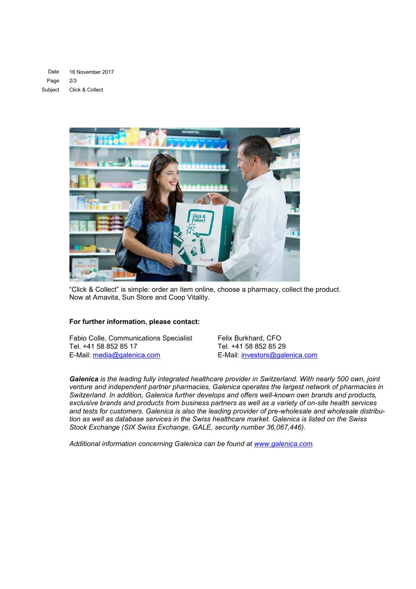16 November 2017 2/3 Click & Collect Date Page Subject



"Click & Collect" is simple: order an item online, choose a pharmacy, collect the product. Now at Amavita, Sun Store and Coop Vitality.

### **For further information, please contact:**

Fabio Colle, Communications Specialist Felix Burkhard, CFO<br>Tel. +41 58 852 85 17 Tel. +41 58 852 85 29 Tel. +41 58 852 85 17 E-Mail: [media@galenica.com](mailto:media@galenica.com) E-Mail: [investors@galenica.com](mailto:investors@galenica.com)

*Galenica is the leading fully integrated healthcare provider in Switzerland. With nearly 500 own, joint venture and independent partner pharmacies, Galenica operates the largest network of pharmacies in Switzerland. In addition, Galenica further develops and offers well-known own brands and products, exclusive brands and products from business partners as well as a variety of on-site health services and tests for customers. Galenica is also the leading provider of pre-wholesale and wholesale distribution as well as database services in the Swiss healthcare market. Galenica is listed on the Swiss Stock Exchange (SIX Swiss Exchange, GALE, security number 36,067,446).*

*Additional information concerning Galenica can be found at [www.galenica.com.](http://www.galenica.com/en/index.php)*